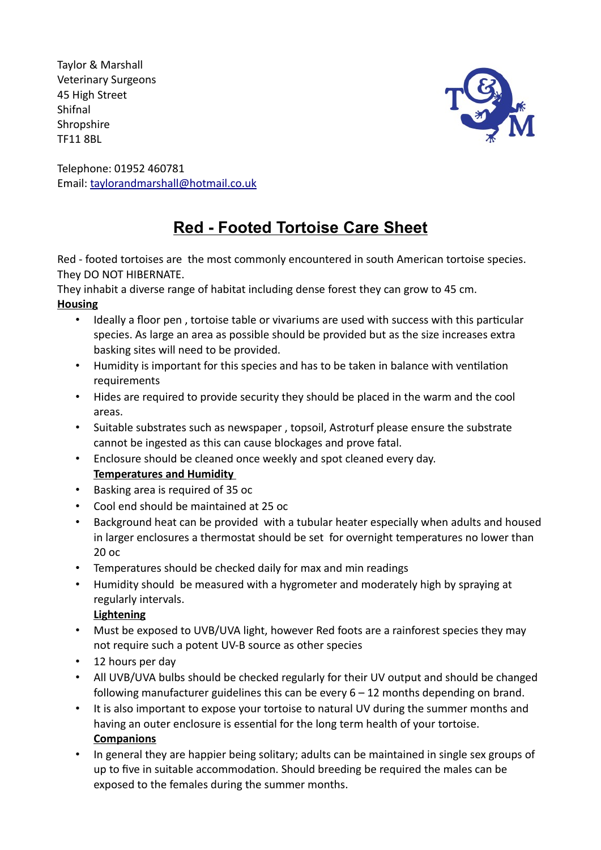Taylor & Marshall Veterinary Surgeons 45 High Street Shifnal **Shropshire** TF11 8BL



Telephone: 01952 460781 Email: taylorandmarshall@hotmail.co.uk

# **Red - Footed Tortoise Care Sheet**

Red - footed tortoises are the most commonly encountered in south American tortoise species. They DO NOT HIBERNATE.

They inhabit a diverse range of habitat including dense forest they can grow to 45 cm.

## **Housing**

- Ideally a floor pen , tortoise table or vivariums are used with success with this particular species. As large an area as possible should be provided but as the size increases extra basking sites will need to be provided.
- Humidity is important for this species and has to be taken in balance with ventilation requirements
- Hides are required to provide security they should be placed in the warm and the cool areas.
- Suitable substrates such as newspaper , topsoil, Astroturf please ensure the substrate cannot be ingested as this can cause blockages and prove fatal.
- Enclosure should be cleaned once weekly and spot cleaned every day.
- **Temperatures and Humidity**
- Basking area is required of 35 oc
- Cool end should be maintained at 25 oc
- Background heat can be provided with a tubular heater especially when adults and housed in larger enclosures a thermostat should be set for overnight temperatures no lower than 20 oc
- Temperatures should be checked daily for max and min readings
- Humidity should be measured with a hygrometer and moderately high by spraying at regularly intervals.

## **Lightening**

- Must be exposed to UVB/UVA light, however Red foots are a rainforest species they may not require such a potent UV-B source as other species
- 12 hours per day
- All UVB/UVA bulbs should be checked regularly for their UV output and should be changed following manufacturer guidelines this can be every  $6 - 12$  months depending on brand.
- It is also important to expose your tortoise to natural UV during the summer months and having an outer enclosure is essential for the long term health of your tortoise. **Companions**
- In general they are happier being solitary; adults can be maintained in single sex groups of up to five in suitable accommodation. Should breeding be required the males can be exposed to the females during the summer months.